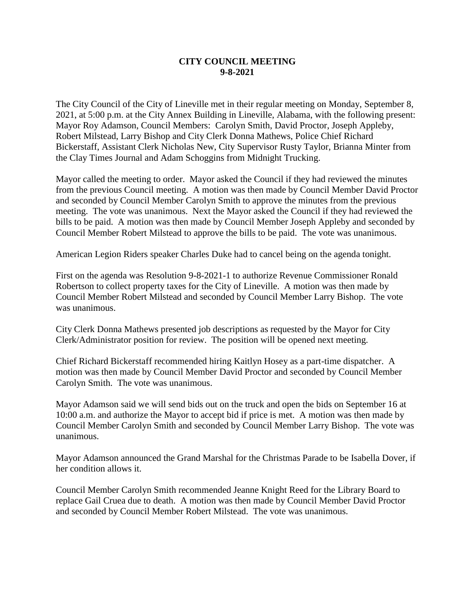## **CITY COUNCIL MEETING 9-8-2021**

The City Council of the City of Lineville met in their regular meeting on Monday, September 8, 2021, at 5:00 p.m. at the City Annex Building in Lineville, Alabama, with the following present: Mayor Roy Adamson, Council Members: Carolyn Smith, David Proctor, Joseph Appleby, Robert Milstead, Larry Bishop and City Clerk Donna Mathews, Police Chief Richard Bickerstaff, Assistant Clerk Nicholas New, City Supervisor Rusty Taylor, Brianna Minter from the Clay Times Journal and Adam Schoggins from Midnight Trucking.

Mayor called the meeting to order. Mayor asked the Council if they had reviewed the minutes from the previous Council meeting. A motion was then made by Council Member David Proctor and seconded by Council Member Carolyn Smith to approve the minutes from the previous meeting. The vote was unanimous. Next the Mayor asked the Council if they had reviewed the bills to be paid. A motion was then made by Council Member Joseph Appleby and seconded by Council Member Robert Milstead to approve the bills to be paid. The vote was unanimous.

American Legion Riders speaker Charles Duke had to cancel being on the agenda tonight.

First on the agenda was Resolution 9-8-2021-1 to authorize Revenue Commissioner Ronald Robertson to collect property taxes for the City of Lineville. A motion was then made by Council Member Robert Milstead and seconded by Council Member Larry Bishop. The vote was unanimous.

City Clerk Donna Mathews presented job descriptions as requested by the Mayor for City Clerk/Administrator position for review. The position will be opened next meeting.

Chief Richard Bickerstaff recommended hiring Kaitlyn Hosey as a part-time dispatcher. A motion was then made by Council Member David Proctor and seconded by Council Member Carolyn Smith. The vote was unanimous.

Mayor Adamson said we will send bids out on the truck and open the bids on September 16 at 10:00 a.m. and authorize the Mayor to accept bid if price is met. A motion was then made by Council Member Carolyn Smith and seconded by Council Member Larry Bishop. The vote was unanimous.

Mayor Adamson announced the Grand Marshal for the Christmas Parade to be Isabella Dover, if her condition allows it.

Council Member Carolyn Smith recommended Jeanne Knight Reed for the Library Board to replace Gail Cruea due to death. A motion was then made by Council Member David Proctor and seconded by Council Member Robert Milstead. The vote was unanimous.